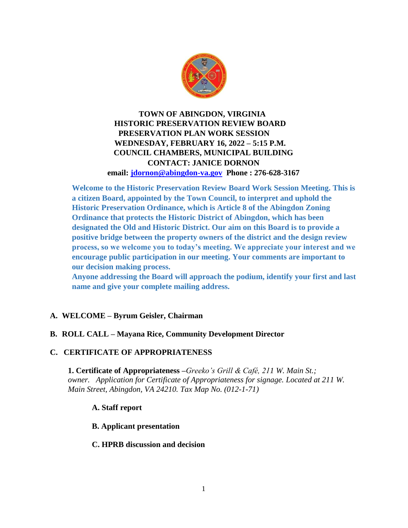

# **TOWN OF ABINGDON, VIRGINIA HISTORIC PRESERVATION REVIEW BOARD PRESERVATION PLAN WORK SESSION WEDNESDAY, FEBRUARY 16, 2022 – 5:15 P.M. COUNCIL CHAMBERS, MUNICIPAL BUILDING CONTACT: JANICE DORNON email: [jdornon@abingdon-va.gov](mailto:jdornon@abingdon-va.gov) Phone : 276-628-3167**

**Welcome to the Historic Preservation Review Board Work Session Meeting. This is a citizen Board, appointed by the Town Council, to interpret and uphold the Historic Preservation Ordinance, which is Article 8 of the Abingdon Zoning Ordinance that protects the Historic District of Abingdon, which has been designated the Old and Historic District. Our aim on this Board is to provide a positive bridge between the property owners of the district and the design review process, so we welcome you to today's meeting. We appreciate your interest and we encourage public participation in our meeting. Your comments are important to our decision making process.**

**Anyone addressing the Board will approach the podium, identify your first and last name and give your complete mailing address.**

## **A. WELCOME – Byrum Geisler, Chairman**

## **B. ROLL CALL – Mayana Rice, Community Development Director**

## **C. CERTIFICATE OF APPROPRIATENESS**

**1. Certificate of Appropriateness –***Greeko's Grill & Café, 211 W. Main St.; owner. Application for Certificate of Appropriateness for signage. Located at 211 W. Main Street, Abingdon, VA 24210. Tax Map No. (012-1-71)*

#### **A. Staff report**

#### **B. Applicant presentation**

#### **C. HPRB discussion and decision**